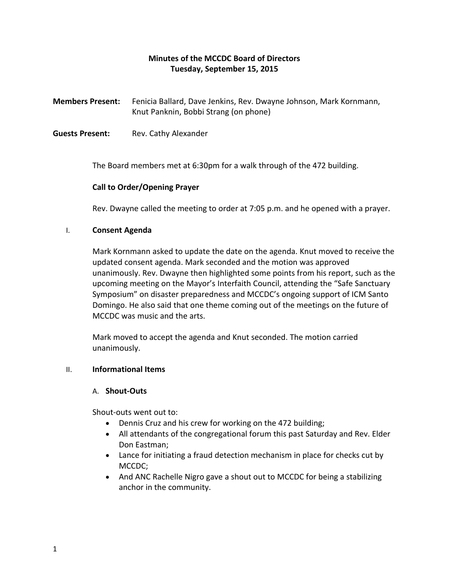# **Minutes of the MCCDC Board of Directors Tuesday, September 15, 2015**

**Members Present:** Fenicia Ballard, Dave Jenkins, Rev. Dwayne Johnson, Mark Kornmann, Knut Panknin, Bobbi Strang (on phone)

**Guests Present:** Rev. Cathy Alexander

The Board members met at 6:30pm for a walk through of the 472 building.

## **Call to Order/Opening Prayer**

Rev. Dwayne called the meeting to order at 7:05 p.m. and he opened with a prayer.

### I. **Consent Agenda**

Mark Kornmann asked to update the date on the agenda. Knut moved to receive the updated consent agenda. Mark seconded and the motion was approved unanimously. Rev. Dwayne then highlighted some points from his report, such as the upcoming meeting on the Mayor's Interfaith Council, attending the "Safe Sanctuary Symposium" on disaster preparedness and MCCDC's ongoing support of ICM Santo Domingo. He also said that one theme coming out of the meetings on the future of MCCDC was music and the arts.

Mark moved to accept the agenda and Knut seconded. The motion carried unanimously.

## II. **Informational Items**

#### A. **Shout-Outs**

Shout-outs went out to:

- Dennis Cruz and his crew for working on the 472 building;
- All attendants of the congregational forum this past Saturday and Rev. Elder Don Eastman;
- Lance for initiating a fraud detection mechanism in place for checks cut by MCCDC;
- And ANC Rachelle Nigro gave a shout out to MCCDC for being a stabilizing anchor in the community.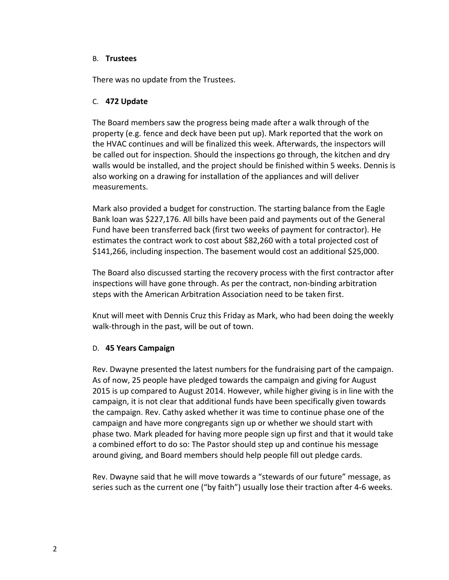### B. **Trustees**

There was no update from the Trustees.

## C. **472 Update**

The Board members saw the progress being made after a walk through of the property (e.g. fence and deck have been put up). Mark reported that the work on the HVAC continues and will be finalized this week. Afterwards, the inspectors will be called out for inspection. Should the inspections go through, the kitchen and dry walls would be installed, and the project should be finished within 5 weeks. Dennis is also working on a drawing for installation of the appliances and will deliver measurements.

Mark also provided a budget for construction. The starting balance from the Eagle Bank loan was \$227,176. All bills have been paid and payments out of the General Fund have been transferred back (first two weeks of payment for contractor). He estimates the contract work to cost about \$82,260 with a total projected cost of \$141,266, including inspection. The basement would cost an additional \$25,000.

The Board also discussed starting the recovery process with the first contractor after inspections will have gone through. As per the contract, non-binding arbitration steps with the American Arbitration Association need to be taken first.

Knut will meet with Dennis Cruz this Friday as Mark, who had been doing the weekly walk-through in the past, will be out of town.

## D. **45 Years Campaign**

Rev. Dwayne presented the latest numbers for the fundraising part of the campaign. As of now, 25 people have pledged towards the campaign and giving for August 2015 is up compared to August 2014. However, while higher giving is in line with the campaign, it is not clear that additional funds have been specifically given towards the campaign. Rev. Cathy asked whether it was time to continue phase one of the campaign and have more congregants sign up or whether we should start with phase two. Mark pleaded for having more people sign up first and that it would take a combined effort to do so: The Pastor should step up and continue his message around giving, and Board members should help people fill out pledge cards.

Rev. Dwayne said that he will move towards a "stewards of our future" message, as series such as the current one ("by faith") usually lose their traction after 4-6 weeks.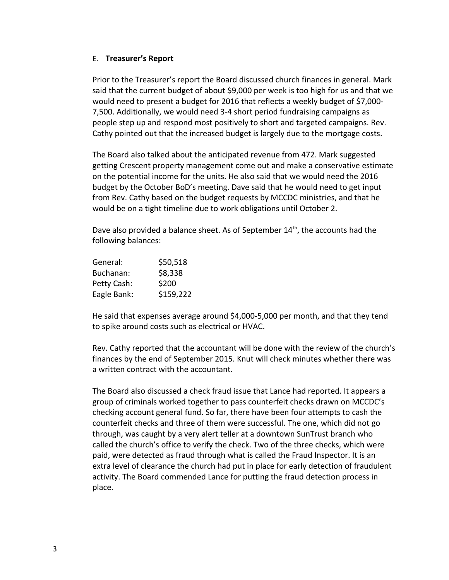### E. **Treasurer's Report**

Prior to the Treasurer's report the Board discussed church finances in general. Mark said that the current budget of about \$9,000 per week is too high for us and that we would need to present a budget for 2016 that reflects a weekly budget of \$7,000- 7,500. Additionally, we would need 3-4 short period fundraising campaigns as people step up and respond most positively to short and targeted campaigns. Rev. Cathy pointed out that the increased budget is largely due to the mortgage costs.

The Board also talked about the anticipated revenue from 472. Mark suggested getting Crescent property management come out and make a conservative estimate on the potential income for the units. He also said that we would need the 2016 budget by the October BoD's meeting. Dave said that he would need to get input from Rev. Cathy based on the budget requests by MCCDC ministries, and that he would be on a tight timeline due to work obligations until October 2.

Dave also provided a balance sheet. As of September  $14<sup>th</sup>$ , the accounts had the following balances:

| General:    | \$50,518  |
|-------------|-----------|
| Buchanan:   | \$8,338   |
| Petty Cash: | \$200     |
| Eagle Bank: | \$159,222 |

He said that expenses average around \$4,000-5,000 per month, and that they tend to spike around costs such as electrical or HVAC.

Rev. Cathy reported that the accountant will be done with the review of the church's finances by the end of September 2015. Knut will check minutes whether there was a written contract with the accountant.

The Board also discussed a check fraud issue that Lance had reported. It appears a group of criminals worked together to pass counterfeit checks drawn on MCCDC's checking account general fund. So far, there have been four attempts to cash the counterfeit checks and three of them were successful. The one, which did not go through, was caught by a very alert teller at a downtown SunTrust branch who called the church's office to verify the check. Two of the three checks, which were paid, were detected as fraud through what is called the Fraud Inspector. It is an extra level of clearance the church had put in place for early detection of fraudulent activity. The Board commended Lance for putting the fraud detection process in place.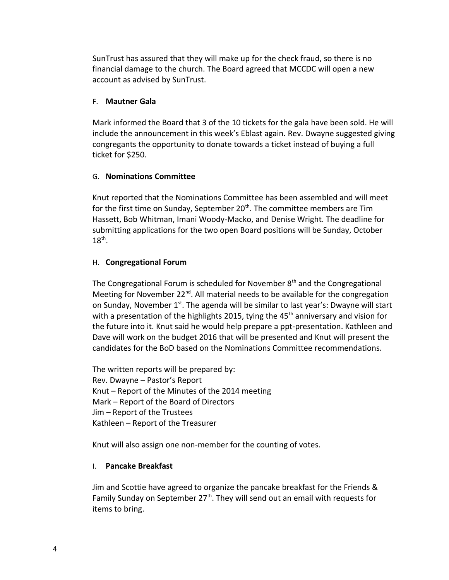SunTrust has assured that they will make up for the check fraud, so there is no financial damage to the church. The Board agreed that MCCDC will open a new account as advised by SunTrust.

## F. **Mautner Gala**

Mark informed the Board that 3 of the 10 tickets for the gala have been sold. He will include the announcement in this week's Eblast again. Rev. Dwayne suggested giving congregants the opportunity to donate towards a ticket instead of buying a full ticket for \$250.

## G. **Nominations Committee**

Knut reported that the Nominations Committee has been assembled and will meet for the first time on Sunday, September  $20<sup>th</sup>$ . The committee members are Tim Hassett, Bob Whitman, Imani Woody-Macko, and Denise Wright. The deadline for submitting applications for the two open Board positions will be Sunday, October  $18<sup>th</sup>$ .

## H. **Congregational Forum**

The Congregational Forum is scheduled for November  $8<sup>th</sup>$  and the Congregational Meeting for November 22 $^{nd}$ . All material needs to be available for the congregation on Sunday, November  $1^{st}$ . The agenda will be similar to last year's: Dwayne will start with a presentation of the highlights 2015, tying the  $45<sup>th</sup>$  anniversary and vision for the future into it. Knut said he would help prepare a ppt-presentation. Kathleen and Dave will work on the budget 2016 that will be presented and Knut will present the candidates for the BoD based on the Nominations Committee recommendations.

The written reports will be prepared by: Rev. Dwayne – Pastor's Report Knut – Report of the Minutes of the 2014 meeting Mark – Report of the Board of Directors Jim – Report of the Trustees Kathleen – Report of the Treasurer

Knut will also assign one non-member for the counting of votes.

## I. **Pancake Breakfast**

Jim and Scottie have agreed to organize the pancake breakfast for the Friends & Family Sunday on September  $27<sup>th</sup>$ . They will send out an email with requests for items to bring.